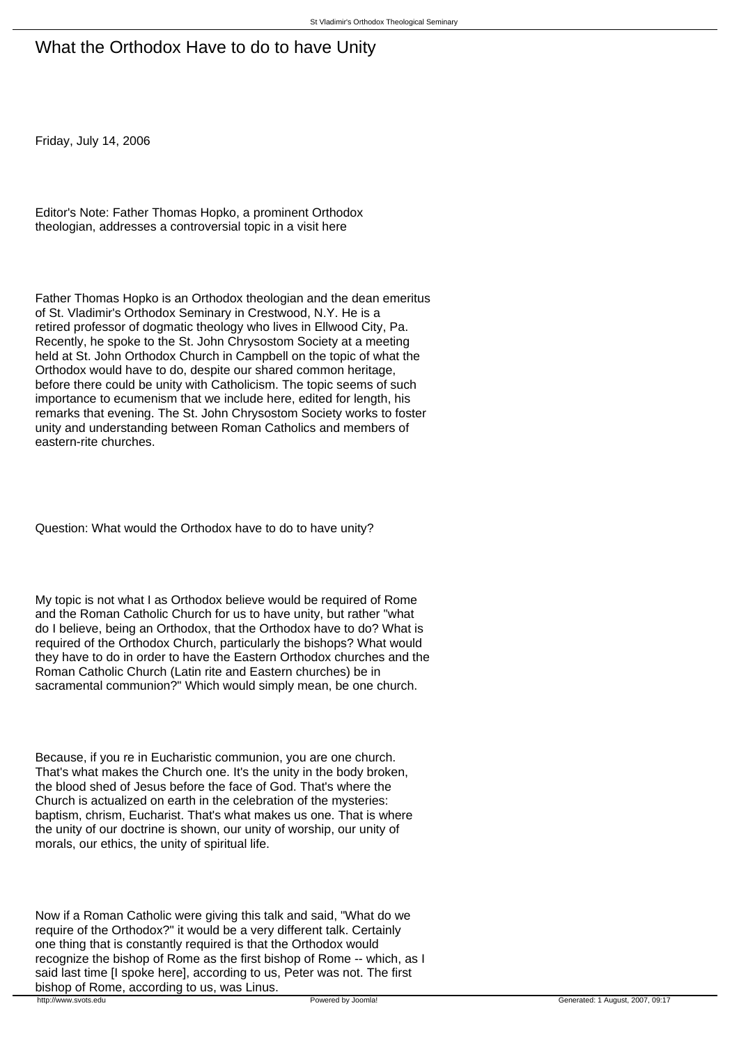## What the Orthodox Have to do to have Unity

Friday, July 14, 2006

Editor's Note: Father Thomas Hopko, a prominent Orthodox theologian, addresses a controversial topic in a visit here

Father Thomas Hopko is an Orthodox theologian and the dean emeritus of St. Vladimir's Orthodox Seminary in Crestwood, N.Y. He is a retired professor of dogmatic theology who lives in Ellwood City, Pa. Recently, he spoke to the St. John Chrysostom Society at a meeting held at St. John Orthodox Church in Campbell on the topic of what the Orthodox would have to do, despite our shared common heritage, before there could be unity with Catholicism. The topic seems of such importance to ecumenism that we include here, edited for length, his remarks that evening. The St. John Chrysostom Society works to foster unity and understanding between Roman Catholics and members of eastern-rite churches.

Question: What would the Orthodox have to do to have unity?

My topic is not what I as Orthodox believe would be required of Rome and the Roman Catholic Church for us to have unity, but rather "what do I believe, being an Orthodox, that the Orthodox have to do? What is required of the Orthodox Church, particularly the bishops? What would they have to do in order to have the Eastern Orthodox churches and the Roman Catholic Church (Latin rite and Eastern churches) be in sacramental communion?" Which would simply mean, be one church.

Because, if you re in Eucharistic communion, you are one church. That's what makes the Church one. It's the unity in the body broken, the blood shed of Jesus before the face of God. That's where the Church is actualized on earth in the celebration of the mysteries: baptism, chrism, Eucharist. That's what makes us one. That is where the unity of our doctrine is shown, our unity of worship, our unity of morals, our ethics, the unity of spiritual life.

Now if a Roman Catholic were giving this talk and said, "What do we require of the Orthodox?" it would be a very different talk. Certainly one thing that is constantly required is that the Orthodox would recognize the bishop of Rome as the first bishop of Rome -- which, as I said last time [I spoke here], according to us, Peter was not. The first bishop of Rome, according to us, was Linus.<br>http://www.svots.edu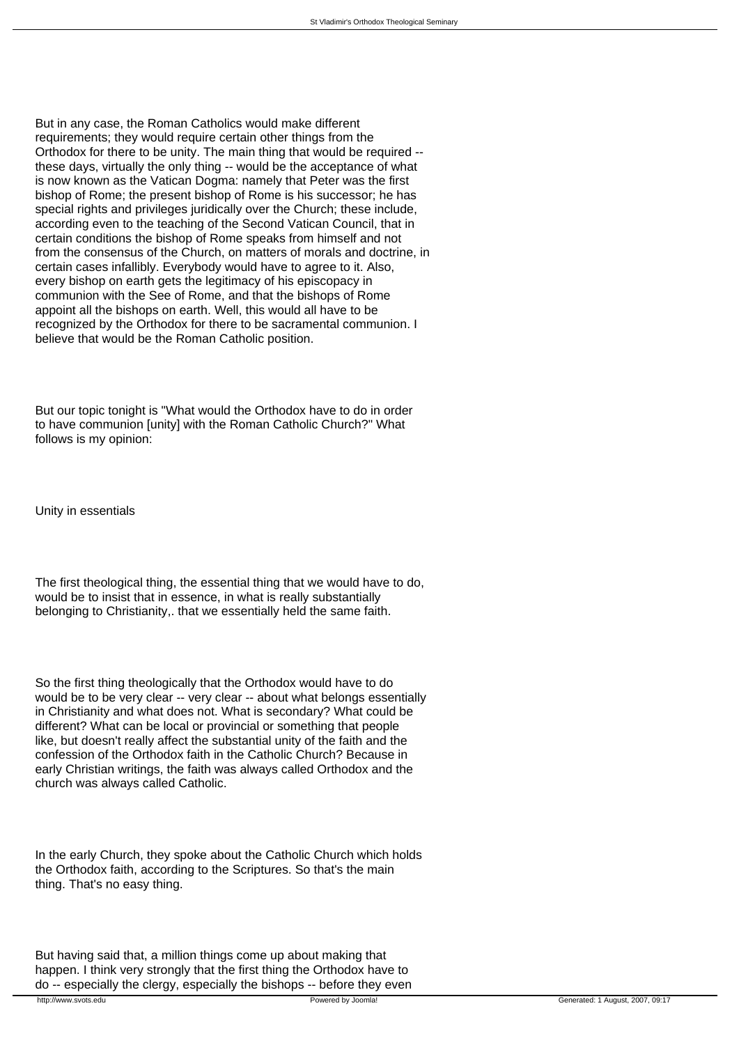But in any case, the Roman Catholics would make different requirements; they would require certain other things from the Orthodox for there to be unity. The main thing that would be required - these days, virtually the only thing -- would be the acceptance of what is now known as the Vatican Dogma: namely that Peter was the first bishop of Rome; the present bishop of Rome is his successor; he has special rights and privileges juridically over the Church; these include, according even to the teaching of the Second Vatican Council, that in certain conditions the bishop of Rome speaks from himself and not from the consensus of the Church, on matters of morals and doctrine, in certain cases infallibly. Everybody would have to agree to it. Also, every bishop on earth gets the legitimacy of his episcopacy in communion with the See of Rome, and that the bishops of Rome appoint all the bishops on earth. Well, this would all have to be recognized by the Orthodox for there to be sacramental communion. I believe that would be the Roman Catholic position.

But our topic tonight is "What would the Orthodox have to do in order to have communion [unity] with the Roman Catholic Church?" What follows is my opinion:

Unity in essentials

The first theological thing, the essential thing that we would have to do, would be to insist that in essence, in what is really substantially belonging to Christianity,. that we essentially held the same faith.

So the first thing theologically that the Orthodox would have to do would be to be very clear -- very clear -- about what belongs essentially in Christianity and what does not. What is secondary? What could be different? What can be local or provincial or something that people like, but doesn't really affect the substantial unity of the faith and the confession of the Orthodox faith in the Catholic Church? Because in early Christian writings, the faith was always called Orthodox and the church was always called Catholic.

In the early Church, they spoke about the Catholic Church which holds the Orthodox faith, according to the Scriptures. So that's the main thing. That's no easy thing.

But having said that, a million things come up about making that happen. I think very strongly that the first thing the Orthodox have to do -- especially the clergy, especially the bishops -- before they even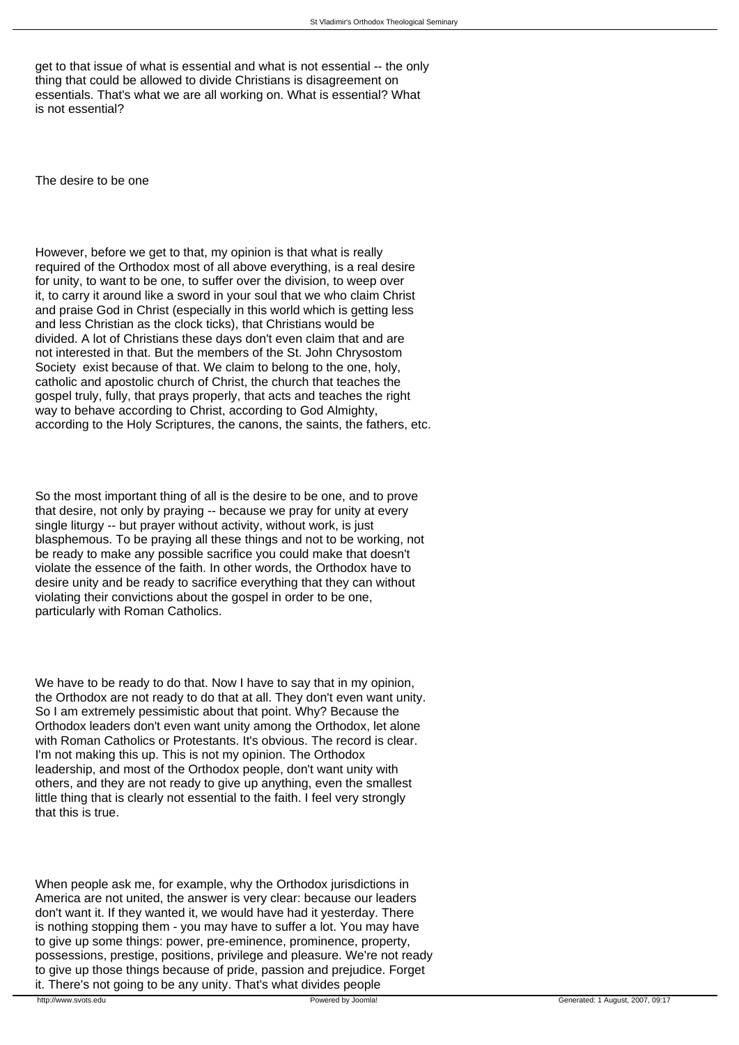get to that issue of what is essential and what is not essential -- the only thing that could be allowed to divide Christians is disagreement on essentials. That's what we are all working on. What is essential? What is not essential?

The desire to be one

However, before we get to that, my opinion is that what is really required of the Orthodox most of all above everything, is a real desire for unity, to want to be one, to suffer over the division, to weep over it, to carry it around like a sword in your soul that we who claim Christ and praise God in Christ (especially in this world which is getting less and less Christian as the clock ticks), that Christians would be divided. A lot of Christians these days don't even claim that and are not interested in that. But the members of the St. John Chrysostom Society exist because of that. We claim to belong to the one, holy, catholic and apostolic church of Christ, the church that teaches the gospel truly, fully, that prays properly, that acts and teaches the right way to behave according to Christ, according to God Almighty, according to the Holy Scriptures, the canons, the saints, the fathers, etc.

So the most important thing of all is the desire to be one, and to prove that desire, not only by praying -- because we pray for unity at every single liturgy -- but prayer without activity, without work, is just blasphemous. To be praying all these things and not to be working, not be ready to make any possible sacrifice you could make that doesn't violate the essence of the faith. In other words, the Orthodox have to desire unity and be ready to sacrifice everything that they can without violating their convictions about the gospel in order to be one, particularly with Roman Catholics.

We have to be ready to do that. Now I have to say that in my opinion, the Orthodox are not ready to do that at all. They don't even want unity. So I am extremely pessimistic about that point. Why? Because the Orthodox leaders don't even want unity among the Orthodox, let alone with Roman Catholics or Protestants. It's obvious. The record is clear. I'm not making this up. This is not my opinion. The Orthodox leadership, and most of the Orthodox people, don't want unity with others, and they are not ready to give up anything, even the smallest little thing that is clearly not essential to the faith. I feel very strongly that this is true.

When people ask me, for example, why the Orthodox jurisdictions in America are not united, the answer is very clear: because our leaders don't want it. If they wanted it, we would have had it yesterday. There is nothing stopping them - you may have to suffer a lot. You may have to give up some things: power, pre-eminence, prominence, property, possessions, prestige, positions, privilege and pleasure. We're not ready to give up those things because of pride, passion and prejudice. Forget it. There's not going to be any unity. That's what divides people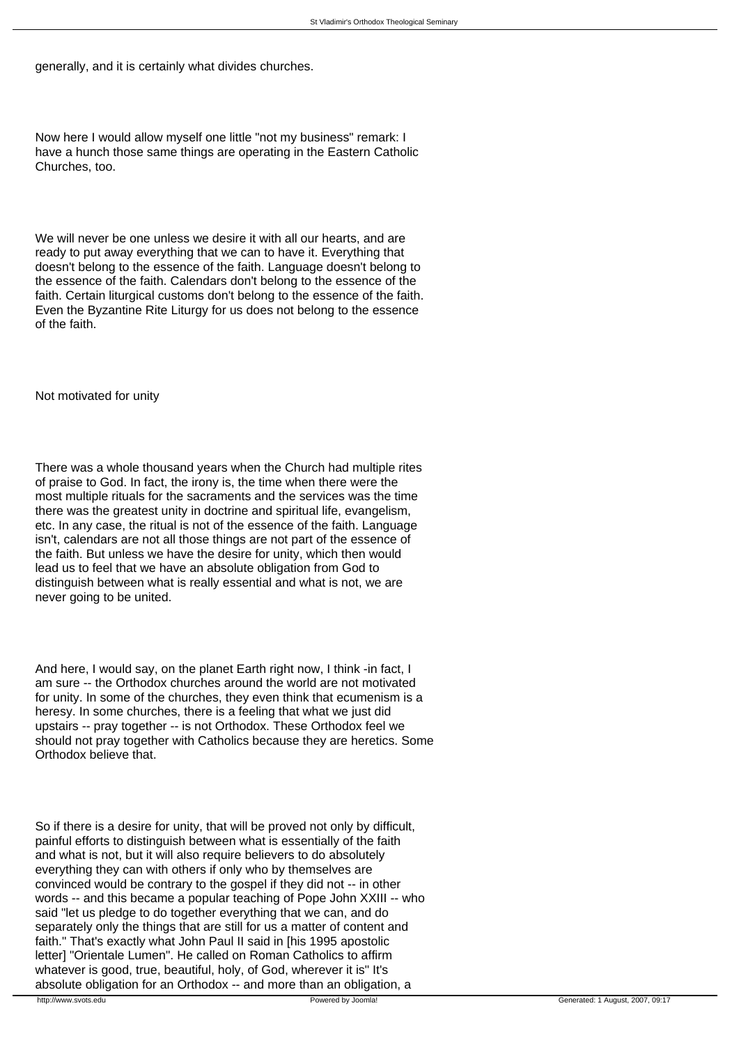generally, and it is certainly what divides churches.

Now here I would allow myself one little "not my business" remark: I have a hunch those same things are operating in the Eastern Catholic Churches, too.

We will never be one unless we desire it with all our hearts, and are ready to put away everything that we can to have it. Everything that doesn't belong to the essence of the faith. Language doesn't belong to the essence of the faith. Calendars don't belong to the essence of the faith. Certain liturgical customs don't belong to the essence of the faith. Even the Byzantine Rite Liturgy for us does not belong to the essence of the faith.

Not motivated for unity

There was a whole thousand years when the Church had multiple rites of praise to God. In fact, the irony is, the time when there were the most multiple rituals for the sacraments and the services was the time there was the greatest unity in doctrine and spiritual life, evangelism, etc. In any case, the ritual is not of the essence of the faith. Language isn't, calendars are not all those things are not part of the essence of the faith. But unless we have the desire for unity, which then would lead us to feel that we have an absolute obligation from God to distinguish between what is really essential and what is not, we are never going to be united.

And here, I would say, on the planet Earth right now, I think -in fact, I am sure -- the Orthodox churches around the world are not motivated for unity. In some of the churches, they even think that ecumenism is a heresy. In some churches, there is a feeling that what we just did upstairs -- pray together -- is not Orthodox. These Orthodox feel we should not pray together with Catholics because they are heretics. Some Orthodox believe that.

So if there is a desire for unity, that will be proved not only by difficult, painful efforts to distinguish between what is essentially of the faith and what is not, but it will also require believers to do absolutely everything they can with others if only who by themselves are convinced would be contrary to the gospel if they did not -- in other words -- and this became a popular teaching of Pope John XXIII -- who said "let us pledge to do together everything that we can, and do separately only the things that are still for us a matter of content and faith." That's exactly what John Paul II said in [his 1995 apostolic letter] "Orientale Lumen". He called on Roman Catholics to affirm whatever is good, true, beautiful, holy, of God, wherever it is" It's absolute obligation for an Orthodox -- and more than an obligation, a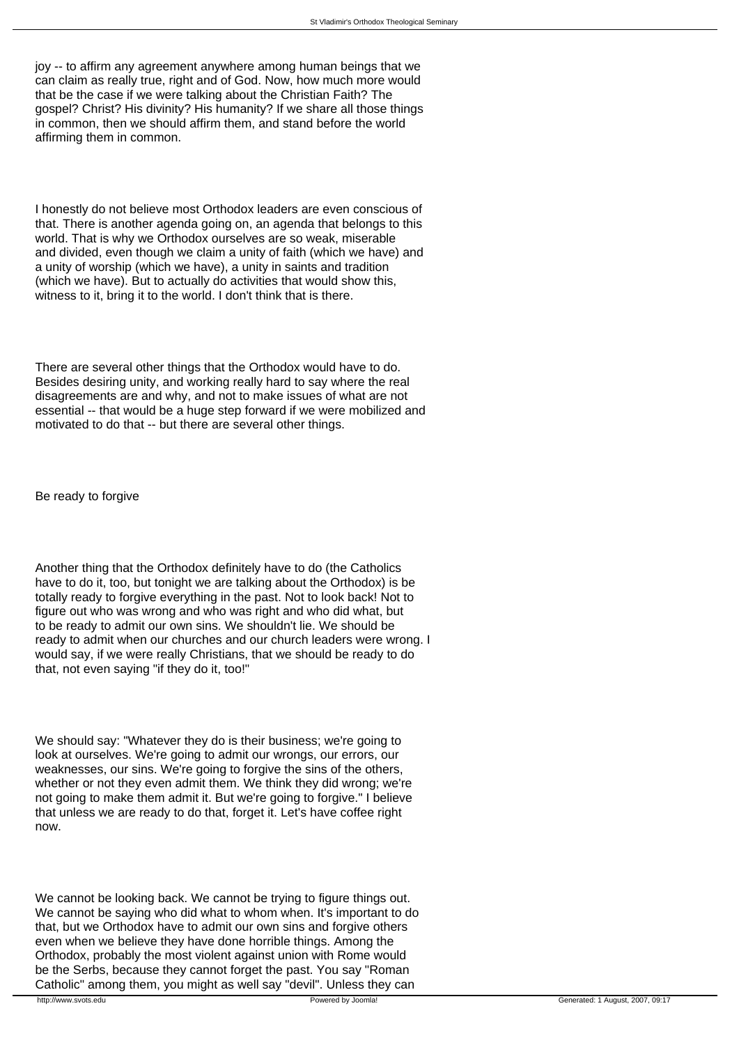joy -- to affirm any agreement anywhere among human beings that we can claim as really true, right and of God. Now, how much more would that be the case if we were talking about the Christian Faith? The gospel? Christ? His divinity? His humanity? If we share all those things in common, then we should affirm them, and stand before the world affirming them in common.

I honestly do not believe most Orthodox leaders are even conscious of that. There is another agenda going on, an agenda that belongs to this world. That is why we Orthodox ourselves are so weak, miserable and divided, even though we claim a unity of faith (which we have) and a unity of worship (which we have), a unity in saints and tradition (which we have). But to actually do activities that would show this, witness to it, bring it to the world. I don't think that is there.

There are several other things that the Orthodox would have to do. Besides desiring unity, and working really hard to say where the real disagreements are and why, and not to make issues of what are not essential -- that would be a huge step forward if we were mobilized and motivated to do that -- but there are several other things.

Be ready to forgive

Another thing that the Orthodox definitely have to do (the Catholics have to do it, too, but tonight we are talking about the Orthodox) is be totally ready to forgive everything in the past. Not to look back! Not to figure out who was wrong and who was right and who did what, but to be ready to admit our own sins. We shouldn't lie. We should be ready to admit when our churches and our church leaders were wrong. I would say, if we were really Christians, that we should be ready to do that, not even saying "if they do it, too!"

We should say: "Whatever they do is their business; we're going to look at ourselves. We're going to admit our wrongs, our errors, our weaknesses, our sins. We're going to forgive the sins of the others, whether or not they even admit them. We think they did wrong; we're not going to make them admit it. But we're going to forgive." I believe that unless we are ready to do that, forget it. Let's have coffee right now.

We cannot be looking back. We cannot be trying to figure things out. We cannot be saying who did what to whom when. It's important to do that, but we Orthodox have to admit our own sins and forgive others even when we believe they have done horrible things. Among the Orthodox, probably the most violent against union with Rome would be the Serbs, because they cannot forget the past. You say "Roman Catholic" among them, you might as well say "devil". Unless they can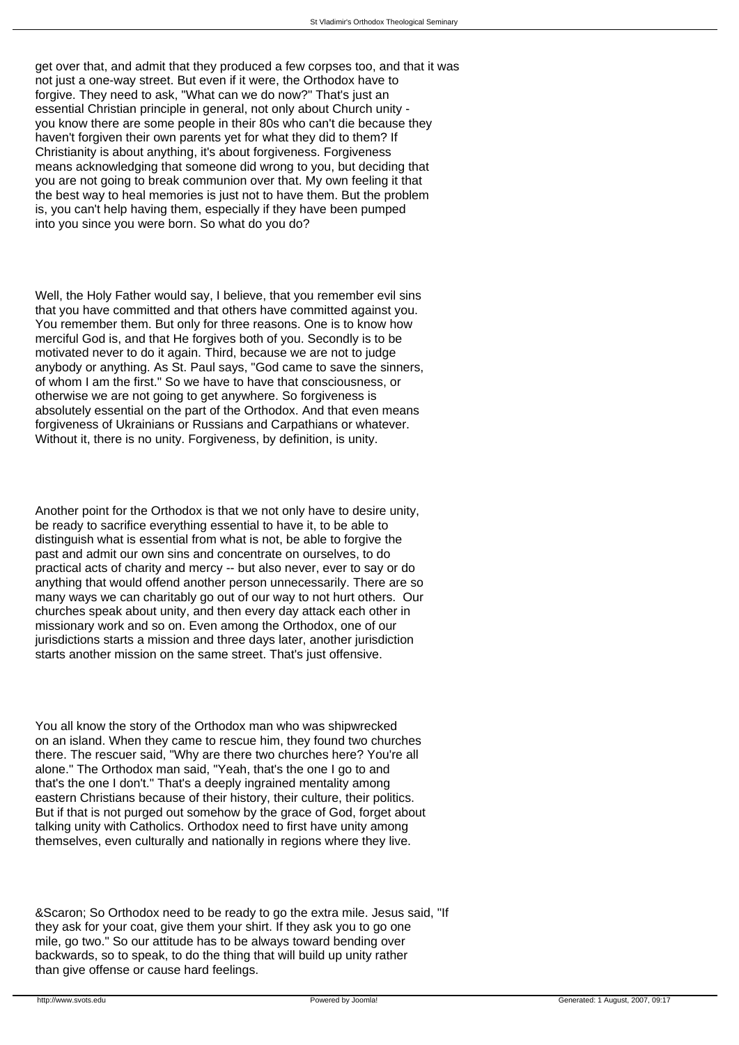get over that, and admit that they produced a few corpses too, and that it was not just a one-way street. But even if it were, the Orthodox have to forgive. They need to ask, "What can we do now?" That's just an essential Christian principle in general, not only about Church unity you know there are some people in their 80s who can't die because they haven't forgiven their own parents yet for what they did to them? If Christianity is about anything, it's about forgiveness. Forgiveness means acknowledging that someone did wrong to you, but deciding that you are not going to break communion over that. My own feeling it that the best way to heal memories is just not to have them. But the problem is, you can't help having them, especially if they have been pumped into you since you were born. So what do you do?

Well, the Holy Father would say, I believe, that you remember evil sins that you have committed and that others have committed against you. You remember them. But only for three reasons. One is to know how merciful God is, and that He forgives both of you. Secondly is to be motivated never to do it again. Third, because we are not to judge anybody or anything. As St. Paul says, "God came to save the sinners, of whom I am the first." So we have to have that consciousness, or otherwise we are not going to get anywhere. So forgiveness is absolutely essential on the part of the Orthodox. And that even means forgiveness of Ukrainians or Russians and Carpathians or whatever. Without it, there is no unity. Forgiveness, by definition, is unity.

Another point for the Orthodox is that we not only have to desire unity, be ready to sacrifice everything essential to have it, to be able to distinguish what is essential from what is not, be able to forgive the past and admit our own sins and concentrate on ourselves, to do practical acts of charity and mercy -- but also never, ever to say or do anything that would offend another person unnecessarily. There are so many ways we can charitably go out of our way to not hurt others. Our churches speak about unity, and then every day attack each other in missionary work and so on. Even among the Orthodox, one of our jurisdictions starts a mission and three days later, another jurisdiction starts another mission on the same street. That's just offensive.

You all know the story of the Orthodox man who was shipwrecked on an island. When they came to rescue him, they found two churches there. The rescuer said, "Why are there two churches here? You're all alone." The Orthodox man said, "Yeah, that's the one I go to and that's the one I don't." That's a deeply ingrained mentality among eastern Christians because of their history, their culture, their politics. But if that is not purged out somehow by the grace of God, forget about talking unity with Catholics. Orthodox need to first have unity among themselves, even culturally and nationally in regions where they live.

& Scaron: So Orthodox need to be ready to go the extra mile. Jesus said. "If they ask for your coat, give them your shirt. If they ask you to go one mile, go two." So our attitude has to be always toward bending over backwards, so to speak, to do the thing that will build up unity rather than give offense or cause hard feelings.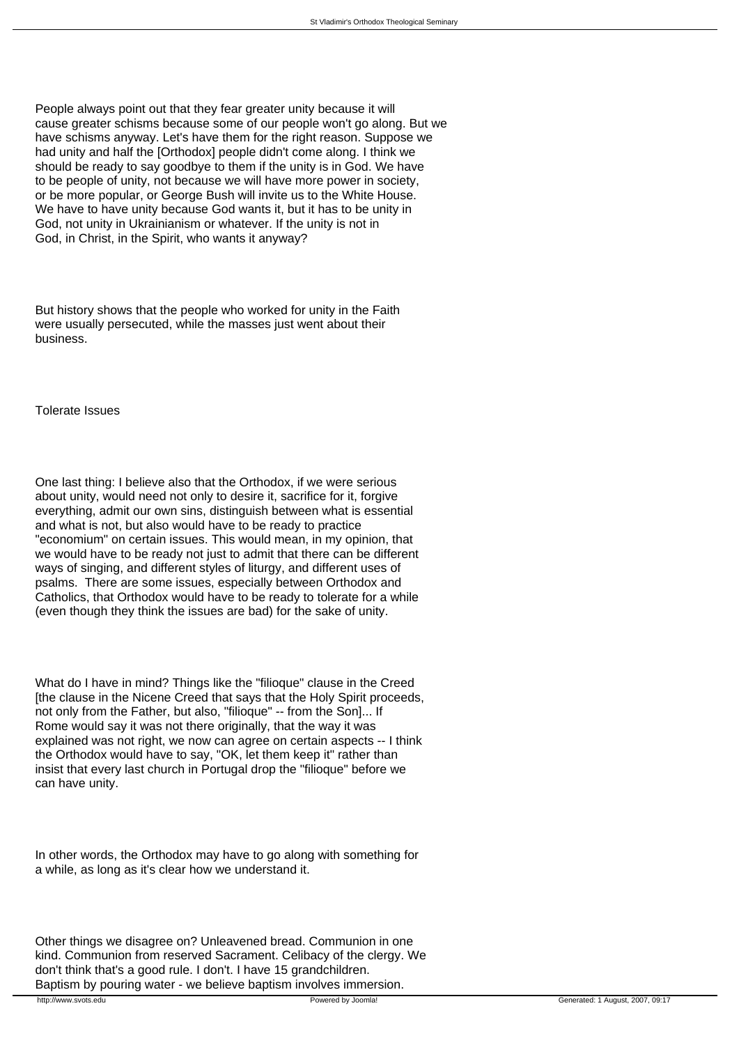People always point out that they fear greater unity because it will cause greater schisms because some of our people won't go along. But we have schisms anyway. Let's have them for the right reason. Suppose we had unity and half the [Orthodox] people didn't come along. I think we should be ready to say goodbye to them if the unity is in God. We have to be people of unity, not because we will have more power in society, or be more popular, or George Bush will invite us to the White House. We have to have unity because God wants it, but it has to be unity in God, not unity in Ukrainianism or whatever. If the unity is not in God, in Christ, in the Spirit, who wants it anyway?

But history shows that the people who worked for unity in the Faith were usually persecuted, while the masses just went about their business.

Tolerate Issues

One last thing: I believe also that the Orthodox, if we were serious about unity, would need not only to desire it, sacrifice for it, forgive everything, admit our own sins, distinguish between what is essential and what is not, but also would have to be ready to practice "economium" on certain issues. This would mean, in my opinion, that we would have to be ready not just to admit that there can be different ways of singing, and different styles of liturgy, and different uses of psalms. There are some issues, especially between Orthodox and Catholics, that Orthodox would have to be ready to tolerate for a while (even though they think the issues are bad) for the sake of unity.

What do I have in mind? Things like the "filioque" clause in the Creed [the clause in the Nicene Creed that says that the Holy Spirit proceeds, not only from the Father, but also, "filioque" -- from the Son]... If Rome would say it was not there originally, that the way it was explained was not right, we now can agree on certain aspects -- I think the Orthodox would have to say, "OK, let them keep it" rather than insist that every last church in Portugal drop the "filioque" before we can have unity.

In other words, the Orthodox may have to go along with something for a while, as long as it's clear how we understand it.

Other things we disagree on? Unleavened bread. Communion in one kind. Communion from reserved Sacrament. Celibacy of the clergy. We don't think that's a good rule. I don't. I have 15 grandchildren. Baptism by pouring water - we believe baptism involves immersion.